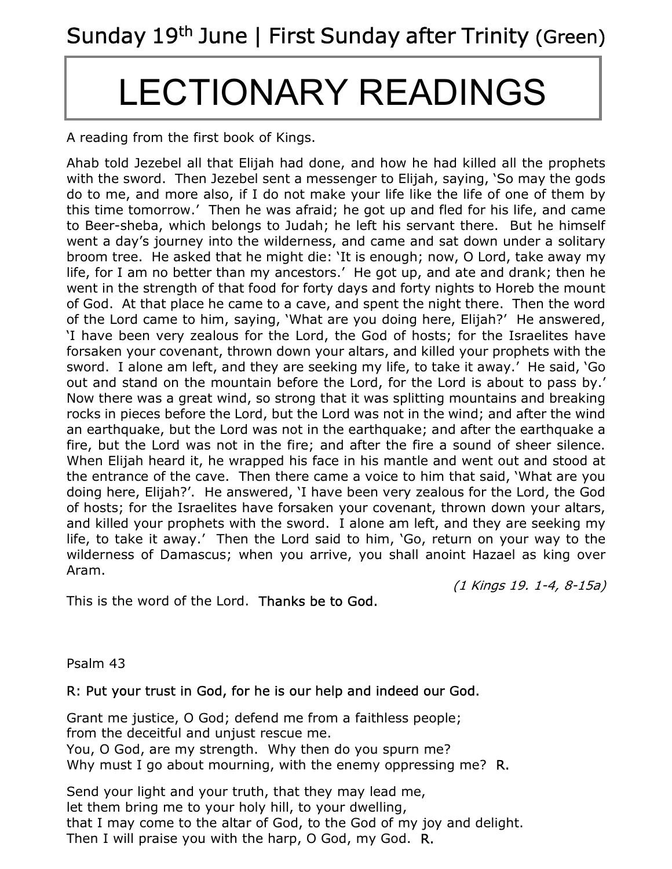## LECTIONARY READINGS

Τ A reading from the first book of Kings.

 $\overline{\phantom{a}}$ 

Ahab told Jezebel all that Elijah had done, and how he had killed all the prophets with the sword. Then Jezebel sent a messenger to Elijah, saying, 'So may the gods do to me, and more also, if I do not make your life like the life of one of them by this time tomorrow.' Then he was afraid; he got up and fled for his life, and came to Beer-sheba, which belongs to Judah; he left his servant there. But he himself went a day's journey into the wilderness, and came and sat down under a solitary broom tree. He asked that he might die: 'It is enough; now, O Lord, take away my life, for I am no better than my ancestors.' He got up, and ate and drank; then he went in the strength of that food for forty days and forty nights to Horeb the mount of God. At that place he came to a cave, and spent the night there. Then the word of the Lord came to him, saying, 'What are you doing here, Elijah?' He answered, 'I have been very zealous for the Lord, the God of hosts; for the Israelites have forsaken your covenant, thrown down your altars, and killed your prophets with the sword. I alone am left, and they are seeking my life, to take it away.' He said, 'Go out and stand on the mountain before the Lord, for the Lord is about to pass by.' Now there was a great wind, so strong that it was splitting mountains and breaking rocks in pieces before the Lord, but the Lord was not in the wind; and after the wind an earthquake, but the Lord was not in the earthquake; and after the earthquake a fire, but the Lord was not in the fire; and after the fire a sound of sheer silence. When Elijah heard it, he wrapped his face in his mantle and went out and stood at the entrance of the cave. Then there came a voice to him that said, 'What are you doing here, Elijah?'. He answered, 'I have been very zealous for the Lord, the God of hosts; for the Israelites have forsaken your covenant, thrown down your altars, and killed your prophets with the sword. I alone am left, and they are seeking my life, to take it away.' Then the Lord said to him, 'Go, return on your way to the wilderness of Damascus; when you arrive, you shall anoint Hazael as king over Aram.

(1 Kings 19. 1-4, 8-15a)

This is the word of the Lord. Thanks be to God.

Psalm 43

## R: Put your trust in God, for he is our help and indeed our God.

Grant me justice, O God; defend me from a faithless people; from the deceitful and unjust rescue me. You, O God, are my strength. Why then do you spurn me? Why must I go about mourning, with the enemy oppressing me? R.

Send your light and your truth, that they may lead me, let them bring me to your holy hill, to your dwelling, that I may come to the altar of God, to the God of my joy and delight. Then I will praise you with the harp, O God, my God. R.